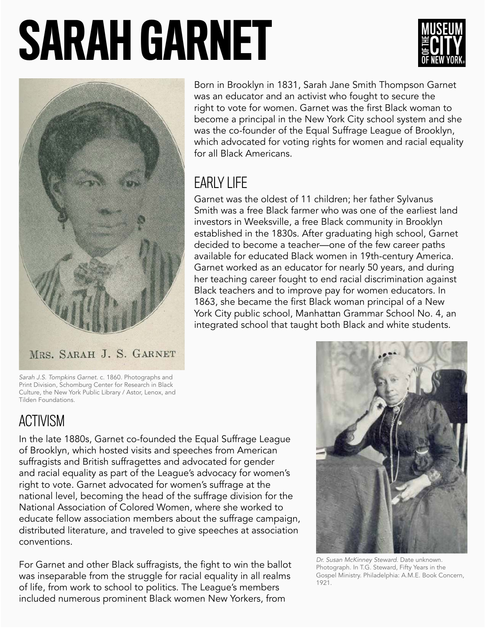# SARAH GARNET





MRS. SARAH J. S. GARNET

Born in Brooklyn in 1831, Sarah Jane Smith Thompson Garnet was an educator and an activist who fought to secure the right to vote for women. Garnet was the first Black woman to become a principal in the New York City school system and she was the co-founder of the Equal Suffrage League of Brooklyn, which advocated for voting rights for women and racial equality for all Black Americans.

## EARLY LIFE

Garnet was the oldest of 11 children; her father Sylvanus Smith was a free Black farmer who was one of the earliest land investors in Weeksville, a free Black community in Brooklyn established in the 1830s. After graduating high school, Garnet decided to become a teacher—one of the few career paths available for educated Black women in 19th-century America. Garnet worked as an educator for nearly 50 years, and during her teaching career fought to end racial discrimination against Black teachers and to improve pay for women educators. In 1863, she became the first Black woman principal of a New York City public school, Manhattan Grammar School No. 4, an integrated school that taught both Black and white students.

*Sarah J.S. Tompkins Garnet.* c. 1860. Photographs and Print Division, Schomburg Center for Research in Black Culture, the New York Public Library / Astor, Lenox, and Tilden Foundations.

## ACTIVISM

In the late 1880s, Garnet co-founded the Equal Suffrage League of Brooklyn, which hosted visits and speeches from American suffragists and British suffragettes and advocated for gender and racial equality as part of the League's advocacy for women's right to vote. Garnet advocated for women's suffrage at the national level, becoming the head of the suffrage division for the National Association of Colored Women, where she worked to educate fellow association members about the suffrage campaign, distributed literature, and traveled to give speeches at association conventions.

For Garnet and other Black suffragists, the fight to win the ballot was inseparable from the struggle for racial equality in all realms of life, from work to school to politics. The League's members included numerous prominent Black women New Yorkers, from



*Dr. Susan McKinney Steward*. Date unknown. Photograph. In T.G. Steward, Fifty Years in the Gospel Ministry. Philadelphia: A.M.E. Book Concern, 1921.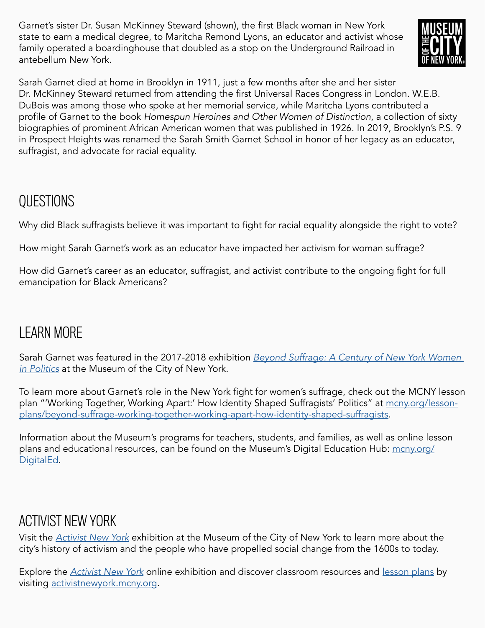Garnet's sister Dr. Susan McKinney Steward (shown), the first Black woman in New York state to earn a medical degree, to Maritcha Remond Lyons, an educator and activist whose family operated a boardinghouse that doubled as a stop on the Underground Railroad in antebellum New York.



Sarah Garnet died at home in Brooklyn in 1911, just a few months after she and her sister Dr. McKinney Steward returned from attending the first Universal Races Congress in London. W.E.B. DuBois was among those who spoke at her memorial service, while Maritcha Lyons contributed a profile of Garnet to the book *Homespun Heroines and Other Women of Distinction*, a collection of sixty biographies of prominent African American women that was published in 1926. In 2019, Brooklyn's P.S. 9 in Prospect Heights was renamed the Sarah Smith Garnet School in honor of her legacy as an educator, suffragist, and advocate for racial equality.

#### QUESTIONS

Why did Black suffragists believe it was important to fight for racial equality alongside the right to vote?

How might Sarah Garnet's work as an educator have impacted her activism for woman suffrage?

How did Garnet's career as an educator, suffragist, and activist contribute to the ongoing fight for full emancipation for Black Americans?

## LEARN MORE

Sarah Garnet was featured in the 2017-2018 exhibition *[Beyond Suffrage: A Century of New York Women](https://www.mcny.org/exhibition/beyond-suffrage)  [in Politics](https://www.mcny.org/exhibition/beyond-suffrage)* at the Museum of the City of New York.

To learn more about Garnet's role in the New York fight for women's suffrage, check out the MCNY lesson plan "'Working Together, Working Apart:' How Identity Shaped Suffragists' Politics" at [mcny.org/lesson](http://mcny.org/lesson-plans/beyond-suffrage-working-together-working-apart-how-identity-shaped-suffragists)[plans/beyond-suffrage-working-together-working-apart-how-identity-shaped-suffragists](http://mcny.org/lesson-plans/beyond-suffrage-working-together-working-apart-how-identity-shaped-suffragists).

Information about the Museum's programs for teachers, students, and families, as well as online lesson plans and educational resources, can be found on the Museum's Digital Education Hub: [mcny.org/](http://mcny.org/DigitalEd) [DigitalEd.](http://mcny.org/DigitalEd)

#### ACTIVIST NEW YORK

Visit the *[Activist New York](https://www.mcny.org/exhibition/activist-new-york)* exhibition at the Museum of the City of New York to learn more about the city's history of activism and the people who have propelled social change from the 1600s to today.

Explore the *[Activist New York](https://activistnewyork.mcny.org/)* online exhibition and discover classroom resources and [lesson plans](https://activistnewyork.mcny.org/see-all-lesson-plans) by visiting [activistnewyork.mcny.org](http://activistnewyork.mcny.org).